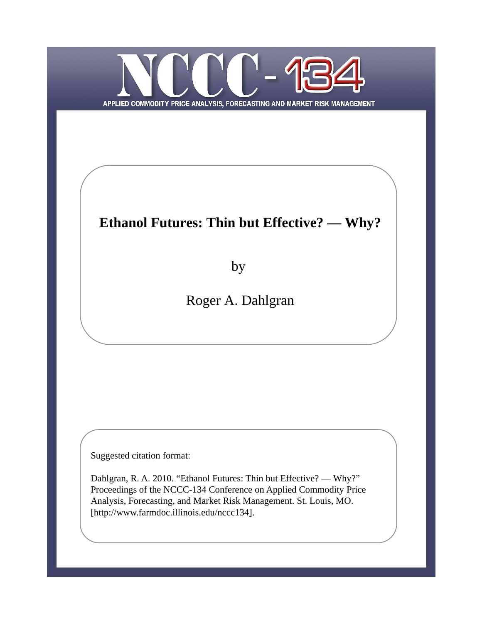

# **Ethanol Futures: Thin but Effective? — Why?**

by

Roger A. Dahlgran

Suggested citation format:

Dahlgran, R. A. 2010. "Ethanol Futures: Thin but Effective? — Why?" Proceedings of the NCCC-134 Conference on Applied Commodity Price Analysis, Forecasting, and Market Risk Management. St. Louis, MO. [http://www.farmdoc.illinois.edu/nccc134].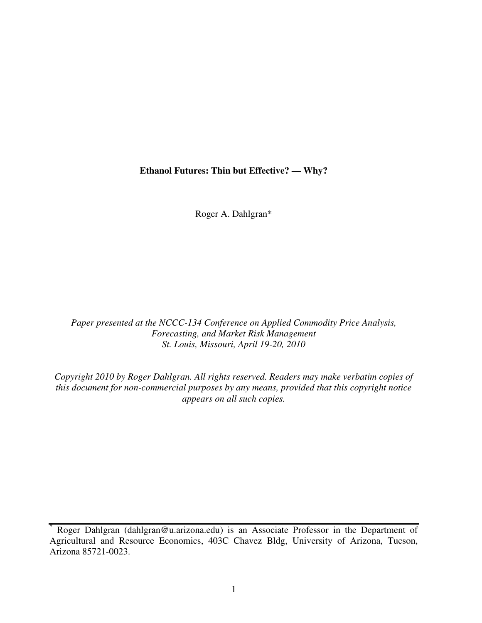#### **Ethanol Futures: Thin but Effective? — Why?**

Roger A. Dahlgran\*

*Paper presented at the NCCC-134 Conference on Applied Commodity Price Analysis, Forecasting, and Market Risk Management St. Louis, Missouri, April 19-20, 2010*

*Copyright 2010 by Roger Dahlgran. All rights reserved. Readers may make verbatim copies of this document for non-commercial purposes by any means, provided that this copyright notice appears on all such copies.*

Roger Dahlgran (dahlgran@u.arizona.edu) is an Associate Professor in the Department of Agricultural and Resource Economics, 403C Chavez Bldg, University of Arizona, Tucson, Arizona 85721-0023.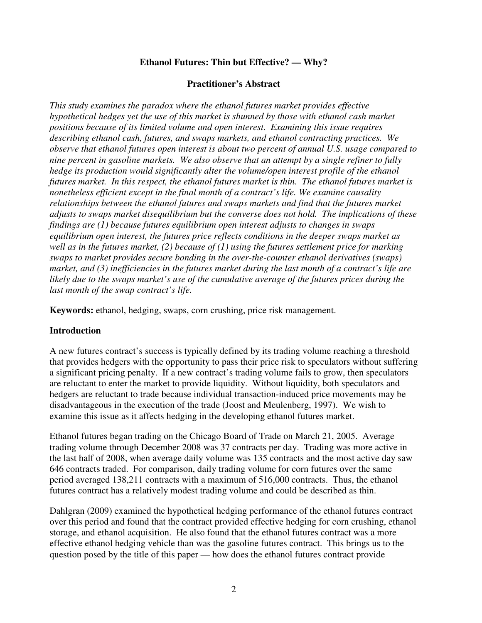# **Ethanol Futures: Thin but Effective? — Why?**

#### **Practitioner's Abstract**

*This study examines the paradox where the ethanol futures market provides effective hypothetical hedges yet the use of this market is shunned by those with ethanol cash market positions because of its limited volume and open interest. Examining this issue requires describing ethanol cash, futures, and swaps markets, and ethanol contracting practices. We observe that ethanol futures open interest is about two percent of annual U.S. usage compared to nine percent in gasoline markets. We also observe that an attempt by a single refiner to fully hedge its production would significantly alter the volume/open interest profile of the ethanol futures market. In this respect, the ethanol futures market is thin. The ethanol futures market is nonetheless efficient except in the final month of a contract's life. We examine causality relationships between the ethanol futures and swaps markets and find that the futures market adjusts to swaps market disequilibrium but the converse does not hold. The implications of these findings are (1) because futures equilibrium open interest adjusts to changes in swaps equilibrium open interest, the futures price reflects conditions in the deeper swaps market as well as in the futures market, (2) because of (1) using the futures settlement price for marking swaps to market provides secure bonding in the over-the-counter ethanol derivatives (swaps) market, and (3) inefficiencies in the futures market during the last month of a contract's life are likely due to the swaps market's use of the cumulative average of the futures prices during the last month of the swap contract's life.*

**Keywords:** ethanol, hedging, swaps, corn crushing, price risk management.

# **Introduction**

A new futures contract's success is typically defined by its trading volume reaching a threshold that provides hedgers with the opportunity to pass their price risk to speculators without suffering a significant pricing penalty. If a new contract's trading volume fails to grow, then speculators are reluctant to enter the market to provide liquidity. Without liquidity, both speculators and hedgers are reluctant to trade because individual transaction-induced price movements may be disadvantageous in the execution of the trade (Joost and Meulenberg, 1997). We wish to examine this issue as it affects hedging in the developing ethanol futures market.

Ethanol futures began trading on the Chicago Board of Trade on March 21, 2005. Average trading volume through December 2008 was 37 contracts per day. Trading was more active in the last half of 2008, when average daily volume was 135 contracts and the most active day saw 646 contracts traded. For comparison, daily trading volume for corn futures over the same period averaged 138,211 contracts with a maximum of 516,000 contracts. Thus, the ethanol futures contract has a relatively modest trading volume and could be described as thin.

Dahlgran (2009) examined the hypothetical hedging performance of the ethanol futures contract over this period and found that the contract provided effective hedging for corn crushing, ethanol storage, and ethanol acquisition. He also found that the ethanol futures contract was a more effective ethanol hedging vehicle than was the gasoline futures contract. This brings us to the question posed by the title of this paper — how does the ethanol futures contract provide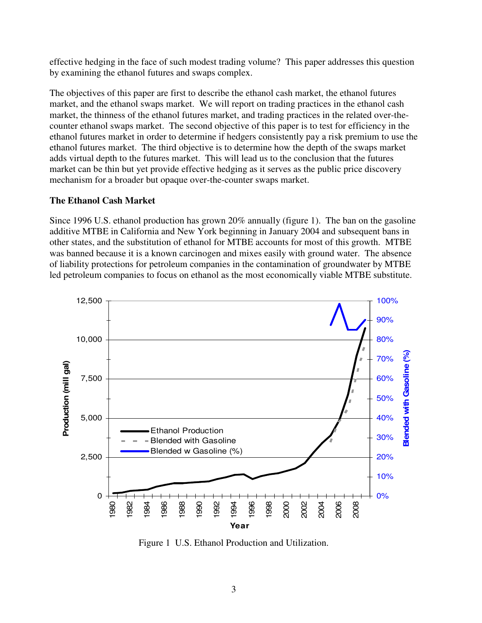effective hedging in the face of such modest trading volume? This paper addresses this question by examining the ethanol futures and swaps complex.

The objectives of this paper are first to describe the ethanol cash market, the ethanol futures market, and the ethanol swaps market. We will report on trading practices in the ethanol cash market, the thinness of the ethanol futures market, and trading practices in the related over-thecounter ethanol swaps market. The second objective of this paper is to test for efficiency in the ethanol futures market in order to determine if hedgers consistently pay a risk premium to use the ethanol futures market. The third objective is to determine how the depth of the swaps market adds virtual depth to the futures market. This will lead us to the conclusion that the futures market can be thin but yet provide effective hedging as it serves as the public price discovery mechanism for a broader but opaque over-the-counter swaps market.

#### **The Ethanol Cash Market**

Since 1996 U.S. ethanol production has grown 20% annually (figure 1). The ban on the gasoline additive MTBE in California and New York beginning in January 2004 and subsequent bans in other states, and the substitution of ethanol for MTBE accounts for most of this growth. MTBE was banned because it is a known carcinogen and mixes easily with ground water. The absence of liability protections for petroleum companies in the contamination of groundwater by MTBE led petroleum companies to focus on ethanol as the most economically viable MTBE substitute.



Figure 1 U.S. Ethanol Production and Utilization.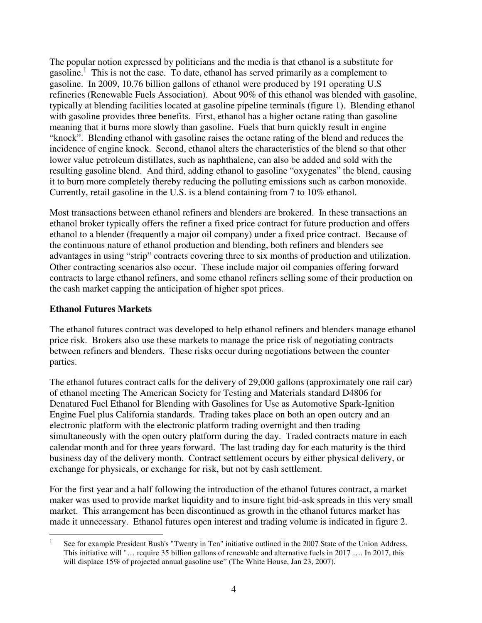The popular notion expressed by politicians and the media is that ethanol is a substitute for gasoline.<sup>1</sup> This is not the case. To date, ethanol has served primarily as a complement to gasoline. In 2009, 10.76 billion gallons of ethanol were produced by 191 operating U.S refineries (Renewable Fuels Association). About 90% of this ethanol was blended with gasoline, typically at blending facilities located at gasoline pipeline terminals (figure 1). Blending ethanol with gasoline provides three benefits. First, ethanol has a higher octane rating than gasoline meaning that it burns more slowly than gasoline. Fuels that burn quickly result in engine "knock". Blending ethanol with gasoline raises the octane rating of the blend and reduces the incidence of engine knock. Second, ethanol alters the characteristics of the blend so that other lower value petroleum distillates, such as naphthalene, can also be added and sold with the resulting gasoline blend. And third, adding ethanol to gasoline "oxygenates" the blend, causing it to burn more completely thereby reducing the polluting emissions such as carbon monoxide. Currently, retail gasoline in the U.S. is a blend containing from 7 to 10% ethanol.

Most transactions between ethanol refiners and blenders are brokered. In these transactions an ethanol broker typically offers the refiner a fixed price contract for future production and offers ethanol to a blender (frequently a major oil company) under a fixed price contract. Because of the continuous nature of ethanol production and blending, both refiners and blenders see advantages in using "strip" contracts covering three to six months of production and utilization. Other contracting scenarios also occur. These include major oil companies offering forward contracts to large ethanol refiners, and some ethanol refiners selling some of their production on the cash market capping the anticipation of higher spot prices.

#### **Ethanol Futures Markets**

The ethanol futures contract was developed to help ethanol refiners and blenders manage ethanol price risk. Brokers also use these markets to manage the price risk of negotiating contracts between refiners and blenders. These risks occur during negotiations between the counter parties.

The ethanol futures contract calls for the delivery of 29,000 gallons (approximately one rail car) of ethanol meeting The American Society for Testing and Materials standard D4806 for Denatured Fuel Ethanol for Blending with Gasolines for Use as Automotive Spark-Ignition Engine Fuel plus California standards. Trading takes place on both an open outcry and an electronic platform with the electronic platform trading overnight and then trading simultaneously with the open outcry platform during the day. Traded contracts mature in each calendar month and for three years forward. The last trading day for each maturity is the third business day of the delivery month. Contract settlement occurs by either physical delivery, or exchange for physicals, or exchange for risk, but not by cash settlement.

For the first year and a half following the introduction of the ethanol futures contract, a market maker was used to provide market liquidity and to insure tight bid-ask spreads in this very small market. This arrangement has been discontinued as growth in the ethanol futures market has made it unnecessary. Ethanol futures open interest and trading volume is indicated in figure 2.

<sup>1</sup> See for example President Bush's "Twenty in Ten" initiative outlined in the 2007 State of the Union Address. This initiative will "… require 35 billion gallons of renewable and alternative fuels in 2017 …. In 2017, this will displace 15% of projected annual gasoline use" (The White House, Jan 23, 2007).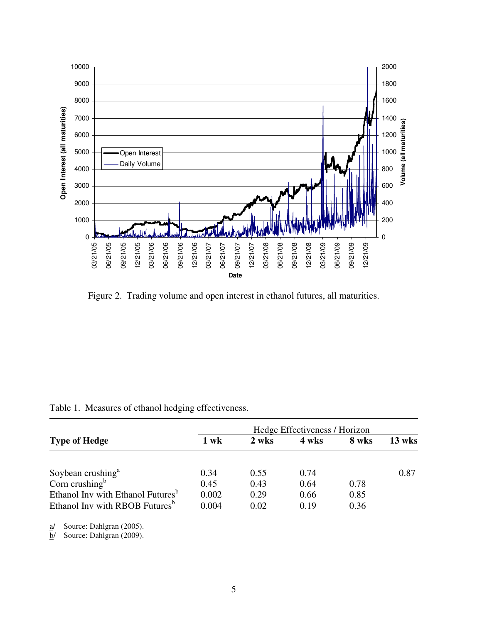

Figure 2. Trading volume and open interest in ethanol futures, all maturities.

|                                                             | Hedge Effectiveness / Horizon |       |       |       |        |  |
|-------------------------------------------------------------|-------------------------------|-------|-------|-------|--------|--|
| <b>Type of Hedge</b>                                        | $1$ wk                        | 2 wks | 4 wks | 8 wks | 13 wks |  |
|                                                             | 0.34                          | 0.55  | 0.74  |       | 0.87   |  |
| Soybean crushing <sup>a</sup><br>Corn crushing <sup>b</sup> | 0.45                          | 0.43  | 0.64  | 0.78  |        |  |
| Ethanol Inv with Ethanol Futures <sup>b</sup>               | 0.002                         | 0.29  | 0.66  | 0.85  |        |  |
| Ethanol Inv with RBOB Futures <sup>b</sup>                  | 0.004                         | 0.02  | 0.19  | 0.36  |        |  |

|  |  |  |  | Table 1. Measures of ethanol hedging effectiveness. |
|--|--|--|--|-----------------------------------------------------|
|--|--|--|--|-----------------------------------------------------|

a/ Source: Dahlgran (2005).

b/ Source: Dahlgran (2009).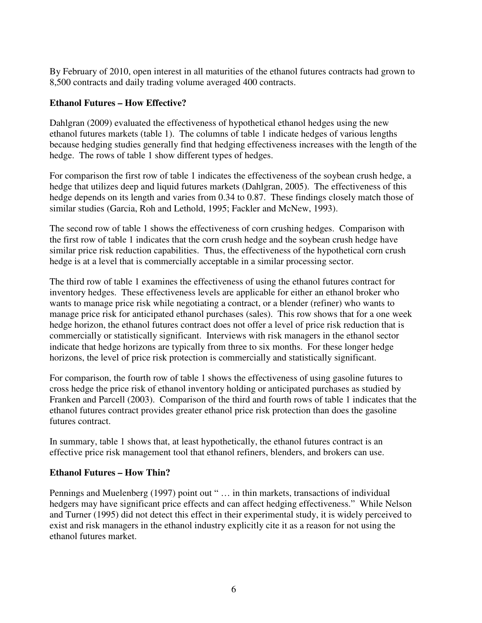By February of 2010, open interest in all maturities of the ethanol futures contracts had grown to 8,500 contracts and daily trading volume averaged 400 contracts.

# **Ethanol Futures – How Effective?**

Dahlgran (2009) evaluated the effectiveness of hypothetical ethanol hedges using the new ethanol futures markets (table 1). The columns of table 1 indicate hedges of various lengths because hedging studies generally find that hedging effectiveness increases with the length of the hedge. The rows of table 1 show different types of hedges.

For comparison the first row of table 1 indicates the effectiveness of the soybean crush hedge, a hedge that utilizes deep and liquid futures markets (Dahlgran, 2005). The effectiveness of this hedge depends on its length and varies from 0.34 to 0.87. These findings closely match those of similar studies (Garcia, Roh and Lethold, 1995; Fackler and McNew, 1993).

The second row of table 1 shows the effectiveness of corn crushing hedges. Comparison with the first row of table 1 indicates that the corn crush hedge and the soybean crush hedge have similar price risk reduction capabilities. Thus, the effectiveness of the hypothetical corn crush hedge is at a level that is commercially acceptable in a similar processing sector.

The third row of table 1 examines the effectiveness of using the ethanol futures contract for inventory hedges. These effectiveness levels are applicable for either an ethanol broker who wants to manage price risk while negotiating a contract, or a blender (refiner) who wants to manage price risk for anticipated ethanol purchases (sales). This row shows that for a one week hedge horizon, the ethanol futures contract does not offer a level of price risk reduction that is commercially or statistically significant. Interviews with risk managers in the ethanol sector indicate that hedge horizons are typically from three to six months. For these longer hedge horizons, the level of price risk protection is commercially and statistically significant.

For comparison, the fourth row of table 1 shows the effectiveness of using gasoline futures to cross hedge the price risk of ethanol inventory holding or anticipated purchases as studied by Franken and Parcell (2003). Comparison of the third and fourth rows of table 1 indicates that the ethanol futures contract provides greater ethanol price risk protection than does the gasoline futures contract.

In summary, table 1 shows that, at least hypothetically, the ethanol futures contract is an effective price risk management tool that ethanol refiners, blenders, and brokers can use.

#### **Ethanol Futures – How Thin?**

Pennings and Muelenberg (1997) point out " ... in thin markets, transactions of individual hedgers may have significant price effects and can affect hedging effectiveness." While Nelson and Turner (1995) did not detect this effect in their experimental study, it is widely perceived to exist and risk managers in the ethanol industry explicitly cite it as a reason for not using the ethanol futures market.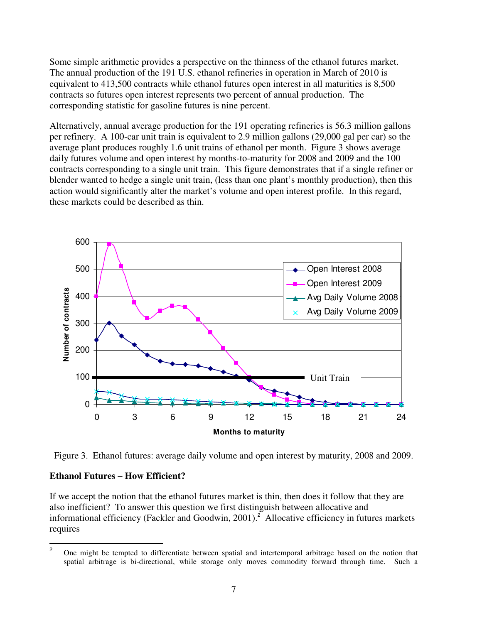Some simple arithmetic provides a perspective on the thinness of the ethanol futures market. The annual production of the 191 U.S. ethanol refineries in operation in March of 2010 is equivalent to 413,500 contracts while ethanol futures open interest in all maturities is 8,500 contracts so futures open interest represents two percent of annual production. The corresponding statistic for gasoline futures is nine percent.

Alternatively, annual average production for the 191 operating refineries is 56.3 million gallons per refinery. A 100-car unit train is equivalent to 2.9 million gallons (29,000 gal per car) so the average plant produces roughly 1.6 unit trains of ethanol per month. Figure 3 shows average daily futures volume and open interest by months-to-maturity for 2008 and 2009 and the 100 contracts corresponding to a single unit train. This figure demonstrates that if a single refiner or blender wanted to hedge a single unit train, (less than one plant's monthly production), then this action would significantly alter the market's volume and open interest profile. In this regard, these markets could be described as thin.



Figure 3. Ethanol futures: average daily volume and open interest by maturity, 2008 and 2009.

# **Ethanol Futures – How Efficient?**

If we accept the notion that the ethanol futures market is thin, then does it follow that they are also inefficient? To answer this question we first distinguish between allocative and informational efficiency (Fackler and Goodwin, 2001). <sup>2</sup> Allocative efficiency in futures markets requires

<sup>&</sup>lt;sup>2</sup> One might be tempted to differentiate between spatial and intertemporal arbitrage based on the notion that spatial arbitrage is bi-directional, while storage only moves commodity forward through time. Such a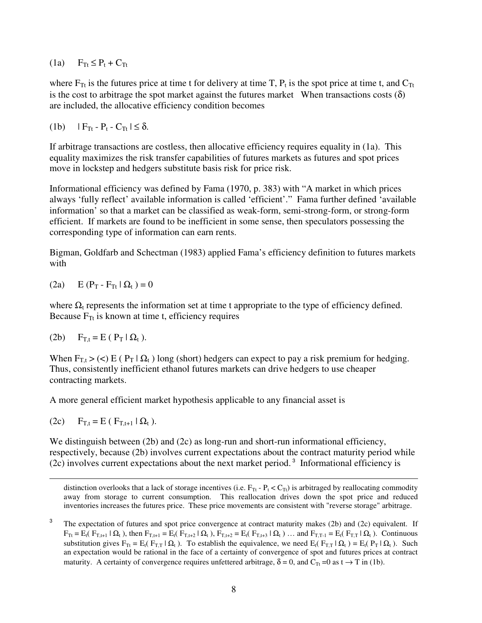(1a)  $F_{Tt} \leq P_t + C_{Tt}$ 

where  $F_{Tt}$  is the futures price at time t for delivery at time T,  $P_t$  is the spot price at time t, and  $C_{Tt}$ is the cost to arbitrage the spot market against the futures market When transactions costs  $(\delta)$ are included, the allocative efficiency condition becomes

(1b)  $|F_{\text{Tr}} - P_t - C_{\text{Tr}}| \le \delta.$ 

If arbitrage transactions are costless, then allocative efficiency requires equality in (1a). This equality maximizes the risk transfer capabilities of futures markets as futures and spot prices move in lockstep and hedgers substitute basis risk for price risk.

Informational efficiency was defined by Fama (1970, p. 383) with "A market in which prices always 'fully reflect' available information is called 'efficient'." Fama further defined 'available information' so that a market can be classified as weak-form, semi-strong-form, or strong-form efficient. If markets are found to be inefficient in some sense, then speculators possessing the corresponding type of information can earn rents.

Bigman, Goldfarb and Schectman (1983) applied Fama's efficiency definition to futures markets with

(2a)  $E(P_T - F_{Tt} | \Omega_t) = 0$ 

where  $\Omega_t$  represents the information set at time t appropriate to the type of efficiency defined. Because  $F_T$  is known at time t, efficiency requires

$$
(2b) \tF_{T,t} = E (P_T | \Omega_t).
$$

When  $F_{T,t}$  > (<) E ( $P_T | \Omega_t$ ) long (short) hedgers can expect to pay a risk premium for hedging. Thus, consistently inefficient ethanol futures markets can drive hedgers to use cheaper contracting markets.

A more general efficient market hypothesis applicable to any financial asset is

(2c)  $F_{Tt} = E (F_{Tt+1} | \Omega_t).$ 

We distinguish between (2b) and (2c) as long-run and short-run informational efficiency, respectively, because (2b) involves current expectations about the contract maturity period while  $(2c)$  involves current expectations about the next market period.<sup>3</sup> Informational efficiency is

distinction overlooks that a lack of storage incentives (i.e.  $F_{Tt}$  -  $P_t < C_{Tt}$ ) is arbitraged by reallocating commodity away from storage to current consumption. This reallocation drives down the spot price and reduced inventories increases the futures price. These price movements are consistent with "reverse storage" arbitrage.

3 The expectation of futures and spot price convergence at contract maturity makes (2b) and (2c) equivalent. If  $\mathbf{F}_{\text{Tr}} = \mathbf{E}_t(\mathbf{F}_{\text{T},t+1} | \mathbf{\Omega}_t)$ , then  $\mathbf{F}_{\text{T},t+1} = \mathbf{E}_t(\mathbf{F}_{\text{T},t+2} | \mathbf{\Omega}_t)$ ,  $\mathbf{F}_{\text{T},t+2} = \mathbf{E}_t(\mathbf{F}_{\text{T},t+3} | \mathbf{\Omega}_t)$ . and  $\mathbf{F}_{\text{T},T-1} = \mathbf{E}_t(\mathbf{F}_{\text{T},T} | \mathbf{\Omega}_t)$ . Continuous substitution gives  $F_{Tt} = E_t(F_{T,T} | \Omega_t)$ . To establish the equivalence, we need  $E_t(F_{T,T} | \Omega_t) = E_t(P_T | \Omega_t)$ . Such an expectation would be rational in the face of a certainty of convergence of spot and futures prices at contract maturity. A certainty of convergence requires unfettered arbitrage,  $\delta = 0$ , and  $C_{Tt} = 0$  as  $t \to T$  in (1b).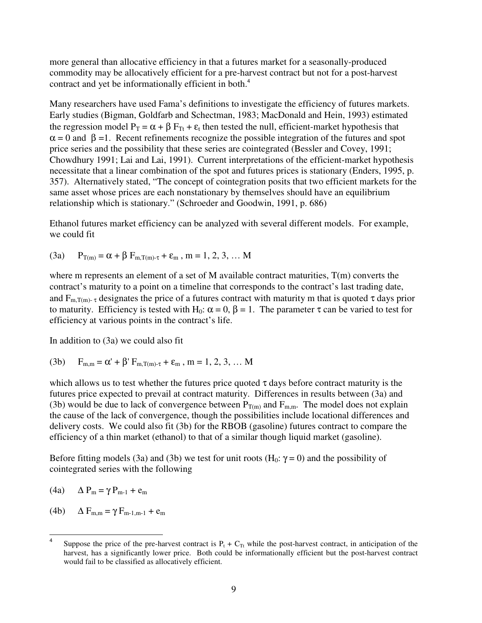more general than allocative efficiency in that a futures market for a seasonally-produced commodity may be allocatively efficient for a pre-harvest contract but not for a post-harvest contract and yet be informationally efficient in both. 4

Many researchers have used Fama's definitions to investigate the efficiency of futures markets. Early studies (Bigman, Goldfarb and Schectman, 1983; MacDonald and Hein, 1993) estimated the regression model  $P_T = \alpha + \beta F_{Tt} + \varepsilon_t$  then tested the null, efficient-market hypothesis that  $\alpha$  = 0 and  $\beta$  =1. Recent refinements recognize the possible integration of the futures and spot price series and the possibility that these series are cointegrated (Bessler and Covey, 1991; Chowdhury 1991; Lai and Lai, 1991). Current interpretations of the efficient-market hypothesis necessitate that a linear combination of the spot and futures prices is stationary (Enders, 1995, p. 357). Alternatively stated, "The concept of cointegration posits that two efficient markets for the same asset whose prices are each nonstationary by themselves should have an equilibrium relationship which is stationary." (Schroeder and Goodwin, 1991, p. 686)

Ethanol futures market efficiency can be analyzed with several different models. For example, we could fit

(3a)  $P_{T(m)} = \alpha + \beta F_{m,T(m)-\tau} + \varepsilon_m$ , m = 1, 2, 3, ... M

where m represents an element of a set of M available contract maturities,  $T(m)$  converts the contract's maturity to a point on a timeline that corresponds to the contract's last trading date, and  $F_{m,T(m)}$ - <sub>τ</sub> designates the price of a futures contract with maturity m that is quoted  $\tau$  days prior to maturity. Efficiency is tested with H<sub>0</sub>:  $\alpha = 0$ ,  $\beta = 1$ . The parameter  $\tau$  can be varied to test for efficiency at various points in the contract's life.

In addition to (3a) we could also fit

(3b)  $F_{m,m} = \alpha' + \beta' F_{m,T(m)-\tau} + \varepsilon_m$ ,  $m = 1, 2, 3, ...$  M

which allows us to test whether the futures price quoted  $\tau$  days before contract maturity is the futures price expected to prevail at contract maturity. Differences in results between (3a) and (3b) would be due to lack of convergence between  $P_{T(m)}$  and  $F_{m,m}$ . The model does not explain the cause of the lack of convergence, though the possibilities include locational differences and delivery costs. We could also fit (3b) for the RBOB (gasoline) futures contract to compare the efficiency of a thin market (ethanol) to that of a similar though liquid market (gasoline).

Before fitting models (3a) and (3b) we test for unit roots (H<sub>0</sub>:  $\gamma = 0$ ) and the possibility of cointegrated series with the following

$$
(4a) \qquad \Delta P_m = \gamma P_{m-1} + e_m
$$

(4b)  $\Delta F_{m,m} = \gamma F_{m-1,m-1} + e_m$ 

<sup>4</sup> Suppose the price of the pre-harvest contract is  $P_t + C_T$  while the post-harvest contract, in anticipation of the harvest, has a significantly lower price. Both could be informationally efficient but the post-harvest contract would fail to be classified as allocatively efficient.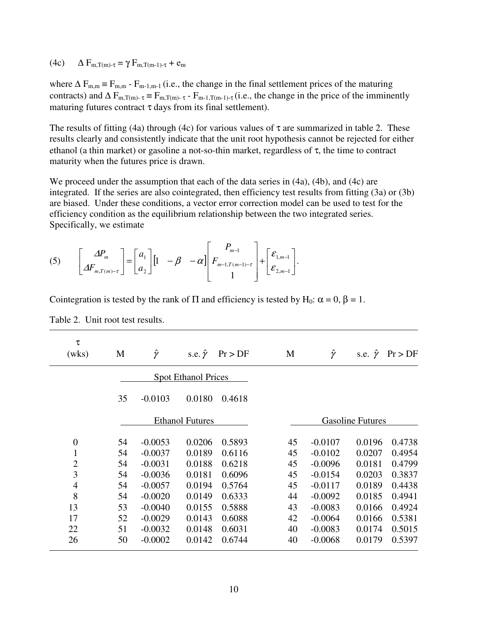#### (4c)  $\Delta F_{m,T(m)-\tau} = \gamma F_{m,T(m-1)-\tau} + e_m$

where  $\Delta F_{m,m} = F_{m,m} - F_{m-1,m-1}$  (i.e., the change in the final settlement prices of the maturing contracts) and  $\Delta F_{m,T(m)-\tau} = F_{m,T(m)-\tau} - F_{m-1,T(m-1)-\tau}$  (i.e., the change in the price of the imminently maturing futures contract  $\tau$  days from its final settlement).

The results of fitting (4a) through (4c) for various values of  $\tau$  are summarized in table 2. These results clearly and consistently indicate that the unit root hypothesis cannot be rejected for either ethanol (a thin market) or gasoline a not-so-thin market, regardless of  $\tau$ , the time to contract maturity when the futures price is drawn.

We proceed under the assumption that each of the data series in  $(4a)$ ,  $(4b)$ , and  $(4c)$  are integrated. If the series are also cointegrated, then efficiency test results from fitting (3a) or (3b) are biased. Under these conditions, a vector error correction model can be used to test for the efficiency condition as the equilibrium relationship between the two integrated series. Specifically, we estimate

$$
(5) \qquad \begin{bmatrix} \Delta P_m \\ \Delta F_{m,T(m)-\tau} \end{bmatrix} = \begin{bmatrix} a_1 \\ a_2 \end{bmatrix} \begin{bmatrix} 1 & -\beta & -\alpha \end{bmatrix} \begin{bmatrix} P_{m-1} \\ F_{m-1,T(m-1)-\tau} \\ 1 \end{bmatrix} + \begin{bmatrix} \varepsilon_{1,m-1} \\ \varepsilon_{2,m-1} \end{bmatrix}.
$$

| τ<br>(wks)     | M  | Ŷ         | s.e. $\hat{\gamma}$        | Pr > DF | M  | Ŷ         | s.e. $\hat{\gamma}$     | Pr > DF |
|----------------|----|-----------|----------------------------|---------|----|-----------|-------------------------|---------|
|                |    |           | <b>Spot Ethanol Prices</b> |         |    |           |                         |         |
|                | 35 | $-0.0103$ | 0.0180                     | 0.4618  |    |           |                         |         |
|                |    |           | <b>Ethanol Futures</b>     |         |    |           | <b>Gasoline Futures</b> |         |
| $\overline{0}$ | 54 | $-0.0053$ | 0.0206                     | 0.5893  | 45 | $-0.0107$ | 0.0196                  | 0.4738  |
| 1              | 54 | $-0.0037$ | 0.0189                     | 0.6116  | 45 | $-0.0102$ | 0.0207                  | 0.4954  |
| $\overline{2}$ | 54 | $-0.0031$ | 0.0188                     | 0.6218  | 45 | $-0.0096$ | 0.0181                  | 0.4799  |
| 3              | 54 | $-0.0036$ | 0.0181                     | 0.6096  | 45 | $-0.0154$ | 0.0203                  | 0.3837  |
| $\overline{4}$ | 54 | $-0.0057$ | 0.0194                     | 0.5764  | 45 | $-0.0117$ | 0.0189                  | 0.4438  |
| 8              | 54 | $-0.0020$ | 0.0149                     | 0.6333  | 44 | $-0.0092$ | 0.0185                  | 0.4941  |
| 13             | 53 | $-0.0040$ | 0.0155                     | 0.5888  | 43 | $-0.0083$ | 0.0166                  | 0.4924  |
| 17             | 52 | $-0.0029$ | 0.0143                     | 0.6088  | 42 | $-0.0064$ | 0.0166                  | 0.5381  |
| 22             | 51 | $-0.0032$ | 0.0148                     | 0.6031  | 40 | $-0.0083$ | 0.0174                  | 0.5015  |
| 26             | 50 | $-0.0002$ | 0.0142                     | 0.6744  | 40 | $-0.0068$ | 0.0179                  | 0.5397  |

Cointegration is tested by the rank of  $\Pi$  and efficiency is tested by H<sub>0</sub>:  $\alpha = 0$ ,  $\beta = 1$ .

Table 2. Unit root test results.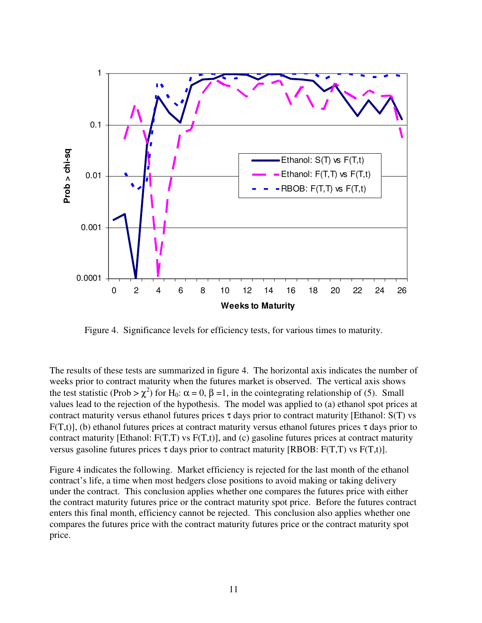

Figure 4. Significance levels for efficiency tests, for various times to maturity.

The results of these tests are summarized in figure 4. The horizontal axis indicates the number of weeks prior to contract maturity when the futures market is observed. The vertical axis shows the test statistic (Prob  $>\chi^2$ ) for H<sub>0</sub>:  $\alpha = 0$ ,  $\beta = 1$ , in the cointegrating relationship of (5). Small values lead to the rejection of the hypothesis. The model was applied to (a) ethanol spot prices at contract maturity versus ethanol futures prices  $\tau$  days prior to contract maturity [Ethanol: S(T) vs F(T,t)], (b) ethanol futures prices at contract maturity versus ethanol futures prices  $\tau$  days prior to contract maturity [Ethanol:  $F(T,T)$  vs  $F(T,t)$ ], and (c) gasoline futures prices at contract maturity versus gasoline futures prices  $\tau$  days prior to contract maturity [RBOB: F(T,T) vs F(T,t)].

Figure 4 indicates the following. Market efficiency is rejected for the last month of the ethanol contract's life, a time when most hedgers close positions to avoid making or taking delivery under the contract. This conclusion applies whether one compares the futures price with either the contract maturity futures price or the contract maturity spot price. Before the futures contract enters this final month, efficiency cannot be rejected. This conclusion also applies whether one compares the futures price with the contract maturity futures price or the contract maturity spot price.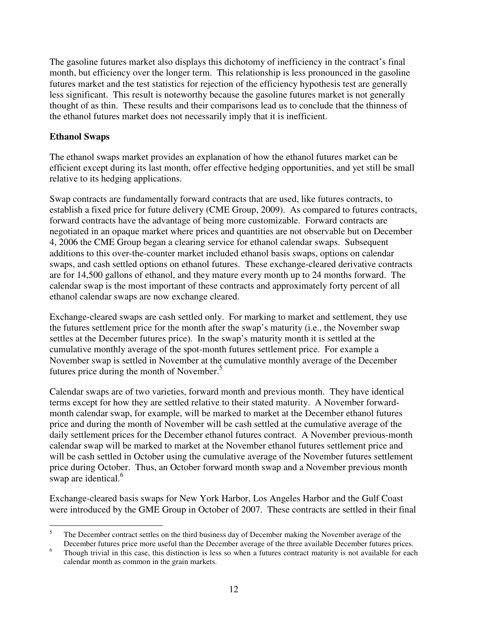The gasoline futures market also displays this dichotomy of inefficiency in the contract's final month, but efficiency over the longer term. This relationship is less pronounced in the gasoline futures market and the test statistics for rejection of the efficiency hypothesis test are generally less significant. This result is noteworthy because the gasoline futures market is not generally thought of as thin. These results and their comparisons lead us to conclude that the thinness of the ethanol futures market does not necessarily imply that it is inefficient.

# **Ethanol Swaps**

The ethanol swaps market provides an explanation of how the ethanol futures market can be efficient except during its last month, offer effective hedging opportunities, and yet still be small relative to its hedging applications.

Swap contracts are fundamentally forward contracts that are used, like futures contracts, to establish a fixed price for future delivery (CME Group, 2009). As compared to futures contracts, forward contracts have the advantage of being more customizable. Forward contracts are negotiated in an opaque market where prices and quantities are not observable but on December 4, 2006 the CME Group began a clearing service for ethanol calendar swaps. Subsequent additions to this over-the-counter market included ethanol basis swaps, options on calendar swaps, and cash settled options on ethanol futures. These exchange-cleared derivative contracts are for 14,500 gallons of ethanol, and they mature every month up to 24 months forward. The calendar swap is the most important of these contracts and approximately forty percent of all ethanol calendar swaps are now exchange cleared.

Exchange-cleared swaps are cash settled only. For marking to market and settlement, they use the futures settlement price for the month after the swap's maturity (i.e., the November swap settles at the December futures price). In the swap's maturity month it is settled at the cumulative monthly average of the spot-month futures settlement price. For example a November swap is settled in November at the cumulative monthly average of the December futures price during the month of November.<sup>5</sup>

Calendar swaps are of two varieties, forward month and previous month. They have identical terms except for how they are settled relative to their stated maturity. A November forwardmonth calendar swap, for example, will be marked to market at the December ethanol futures price and during the month of November will be cash settled at the cumulative average of the daily settlement prices for the December ethanol futures contract. A November previous-month calendar swap will be marked to market at the November ethanol futures settlement price and will be cash settled in October using the cumulative average of the November futures settlement price during October. Thus, an October forward month swap and a November previous month swap are identical.<sup>6</sup>

Exchange-cleared basis swaps for New York Harbor, Los Angeles Harbor and the Gulf Coast were introduced by the GME Group in October of 2007. These contracts are settled in their final

<sup>&</sup>lt;sup>5</sup> The December contract settles on the third business day of December making the November average of the December futures price more useful than the December average of the three available December futures prices.

<sup>&</sup>lt;sup>6</sup> Though trivial in this case, this distinction is less so when a futures contract maturity is not available for each calendar month as common in the grain markets.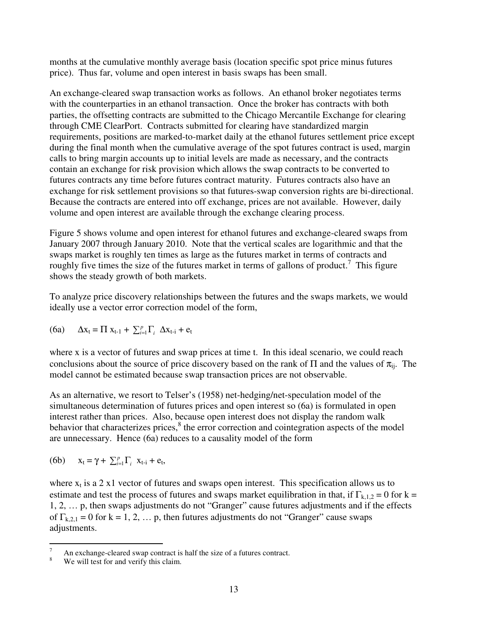months at the cumulative monthly average basis (location specific spot price minus futures price). Thus far, volume and open interest in basis swaps has been small.

An exchange-cleared swap transaction works as follows. An ethanol broker negotiates terms with the counterparties in an ethanol transaction. Once the broker has contracts with both parties, the offsetting contracts are submitted to the Chicago Mercantile Exchange for clearing through CME ClearPort. Contracts submitted for clearing have standardized margin requirements, positions are marked-to-market daily at the ethanol futures settlement price except during the final month when the cumulative average of the spot futures contract is used, margin calls to bring margin accounts up to initial levels are made as necessary, and the contracts contain an exchange for risk provision which allows the swap contracts to be converted to futures contracts any time before futures contract maturity. Futures contracts also have an exchange for risk settlement provisions so that futures-swap conversion rights are bi-directional. Because the contracts are entered into off exchange, prices are not available. However, daily volume and open interest are available through the exchange clearing process.

Figure 5 shows volume and open interest for ethanol futures and exchange-cleared swaps from January 2007 through January 2010. Note that the vertical scales are logarithmic and that the swaps market is roughly ten times as large as the futures market in terms of contracts and roughly five times the size of the futures market in terms of gallons of product.<sup>7</sup> This figure shows the steady growth of both markets.

To analyze price discovery relationships between the futures and the swaps markets, we would ideally use a vector error correction model of the form,

(6a) 
$$
\Delta x_t = \Pi x_{t-1} + \sum_{i=1}^p \Gamma_i \ \Delta x_{t-i} + e_t
$$

where x is a vector of futures and swap prices at time t. In this ideal scenario, we could reach conclusions about the source of price discovery based on the rank of  $\Pi$  and the values of  $\pi_{ij}$ . The model cannot be estimated because swap transaction prices are not observable.

As an alternative, we resort to Telser's (1958) net-hedging/net-speculation model of the simultaneous determination of futures prices and open interest so (6a) is formulated in open interest rather than prices. Also, because open interest does not display the random walk behavior that characterizes prices,<sup>8</sup> the error correction and cointegration aspects of the model are unnecessary. Hence (6a) reduces to a causality model of the form

(6b) 
$$
x_t = \gamma + \sum_{i=1}^p \Gamma_i \ x_{t-i} + e_t,
$$

where  $x_t$  is a 2 x1 vector of futures and swaps open interest. This specification allows us to estimate and test the process of futures and swaps market equilibration in that, if  $\Gamma_{k,1,2} = 0$  for k = 1, 2, … p, then swaps adjustments do not "Granger" cause futures adjustments and if the effects of  $\Gamma_{k,2,1} = 0$  for  $k = 1, 2, \ldots$  p, then futures adjustments do not "Granger" cause swaps adjustments.

 $\frac{7}{8}$  An exchange-cleared swap contract is half the size of a futures contract.

We will test for and verify this claim.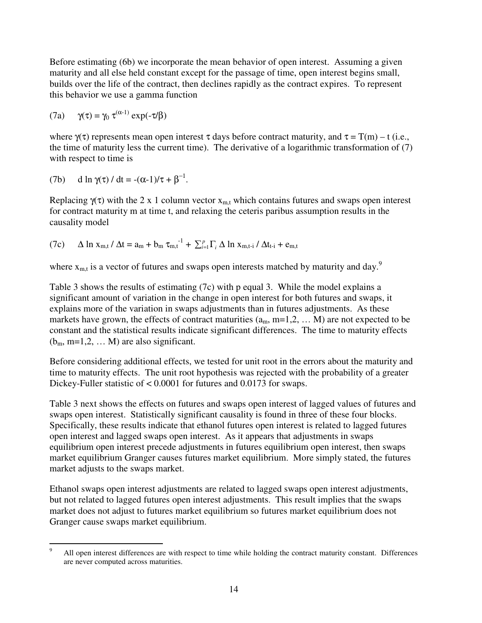Before estimating (6b) we incorporate the mean behavior of open interest. Assuming a given maturity and all else held constant except for the passage of time, open interest begins small, builds over the life of the contract, then declines rapidly as the contract expires. To represent this behavior we use a gamma function

(7a) 
$$
\gamma(\tau) = \gamma_0 \tau^{(\alpha-1)} \exp(-\tau/\beta)
$$

where  $\gamma(\tau)$  represents mean open interest  $\tau$  days before contract maturity, and  $\tau = T(m) - t$  (i.e., the time of maturity less the current time). The derivative of a logarithmic transformation of (7) with respect to time is

(7b) d ln 
$$
\gamma(\tau)
$$
 / dt =  $-(\alpha-1)/\tau + \beta^{-1}$ .

Replacing  $\gamma(\tau)$  with the 2 x 1 column vector  $x_{m,t}$  which contains futures and swaps open interest for contract maturity m at time t, and relaxing the ceteris paribus assumption results in the causality model

(7c) 
$$
\Delta \ln x_{m,t} / \Delta t = a_m + b_m \tau_{m,t}^{-1} + \sum_{i=1}^p \Gamma_i \Delta \ln x_{m,t-i} / \Delta t_{t-i} + e_{m,t}
$$

where  $x_{m,t}$  is a vector of futures and swaps open interests matched by maturity and day.<sup>9</sup>

Table 3 shows the results of estimating (7c) with p equal 3. While the model explains a significant amount of variation in the change in open interest for both futures and swaps, it explains more of the variation in swaps adjustments than in futures adjustments. As these markets have grown, the effects of contract maturities  $(a_m, m=1,2, \ldots, M)$  are not expected to be constant and the statistical results indicate significant differences. The time to maturity effects  $(b_m, m=1,2, \dots M)$  are also significant.

Before considering additional effects, we tested for unit root in the errors about the maturity and time to maturity effects. The unit root hypothesis was rejected with the probability of a greater Dickey-Fuller statistic of < 0.0001 for futures and 0.0173 for swaps.

Table 3 next shows the effects on futures and swaps open interest of lagged values of futures and swaps open interest. Statistically significant causality is found in three of these four blocks. Specifically, these results indicate that ethanol futures open interest is related to lagged futures open interest and lagged swaps open interest. As it appears that adjustments in swaps equilibrium open interest precede adjustments in futures equilibrium open interest, then swaps market equilibrium Granger causes futures market equilibrium. More simply stated, the futures market adjusts to the swaps market.

Ethanol swaps open interest adjustments are related to lagged swaps open interest adjustments, but not related to lagged futures open interest adjustments. This result implies that the swaps market does not adjust to futures market equilibrium so futures market equilibrium does not Granger cause swaps market equilibrium.

<sup>&</sup>lt;sup>9</sup> All open interest differences are with respect to time while holding the contract maturity constant. Differences are never computed across maturities.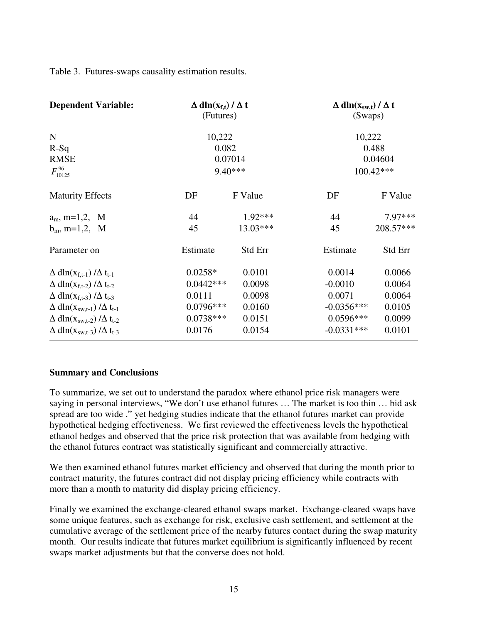| Table 3. Futures-swaps causality estimation results. |  |  |
|------------------------------------------------------|--|--|
|                                                      |  |  |

| <b>Dependent Variable:</b>                               | $\Delta$ dln( $x_{f,t}$ ) / $\Delta$ t<br>(Futures) |           | $\Delta$ dln(x <sub>sw,t</sub> ) / $\Delta$ t<br>(Swaps) |           |
|----------------------------------------------------------|-----------------------------------------------------|-----------|----------------------------------------------------------|-----------|
| $\mathbf N$                                              | 10,222                                              |           | 10,222                                                   |           |
| $R-Sq$                                                   |                                                     | 0.082     | 0.488                                                    |           |
| <b>RMSE</b>                                              | 0.07014                                             |           | 0.04604                                                  |           |
| $F_{10125}^{96}$                                         | $9.40***$                                           |           | $100.42***$                                              |           |
| <b>Maturity Effects</b>                                  | DF                                                  | F Value   | DF                                                       | F Value   |
| $a_m$ , m=1,2, M                                         | 44                                                  | $1.92***$ | 44                                                       | 7.97***   |
| $b_m$ , m=1,2, M                                         | 45                                                  | 13.03***  | 45                                                       | 208.57*** |
| Parameter on                                             | Estimate                                            | Std Err   | Estimate                                                 | Std Err   |
| $\Delta$ dln( $x_{f,t-1}$ ) / $\Delta$ t <sub>t-1</sub>  | $0.0258*$                                           | 0.0101    | 0.0014                                                   | 0.0066    |
| $\Delta$ dln( $x_{f,t-2}$ ) / $\Delta$ t <sub>t-2</sub>  | $0.0442***$                                         | 0.0098    | $-0.0010$                                                | 0.0064    |
| $\Delta$ dln( $X_{f,t-3}$ ) / $\Delta$ t <sub>t-3</sub>  | 0.0111                                              | 0.0098    | 0.0071                                                   | 0.0064    |
| $\Delta$ dln( $X_{sw,t-1}$ ) / $\Delta$ t <sub>t-1</sub> | $0.0796***$                                         | 0.0160    | $-0.0356***$                                             | 0.0105    |
| $\Delta$ dln( $X_{sw,t-2}$ ) / $\Delta$ t <sub>t-2</sub> | $0.0738***$                                         | 0.0151    | $0.0596***$                                              | 0.0099    |
| $\Delta$ dln( $X_{sw,t-3}$ ) / $\Delta$ t <sub>t-3</sub> | 0.0176                                              | 0.0154    | $-0.0331***$                                             | 0.0101    |

#### **Summary and Conclusions**

To summarize, we set out to understand the paradox where ethanol price risk managers were saying in personal interviews, "We don't use ethanol futures … The market is too thin … bid ask spread are too wide ," yet hedging studies indicate that the ethanol futures market can provide hypothetical hedging effectiveness. We first reviewed the effectiveness levels the hypothetical ethanol hedges and observed that the price risk protection that was available from hedging with the ethanol futures contract was statistically significant and commercially attractive.

We then examined ethanol futures market efficiency and observed that during the month prior to contract maturity, the futures contract did not display pricing efficiency while contracts with more than a month to maturity did display pricing efficiency.

Finally we examined the exchange-cleared ethanol swaps market. Exchange-cleared swaps have some unique features, such as exchange for risk, exclusive cash settlement, and settlement at the cumulative average of the settlement price of the nearby futures contact during the swap maturity month. Our results indicate that futures market equilibrium is significantly influenced by recent swaps market adjustments but that the converse does not hold.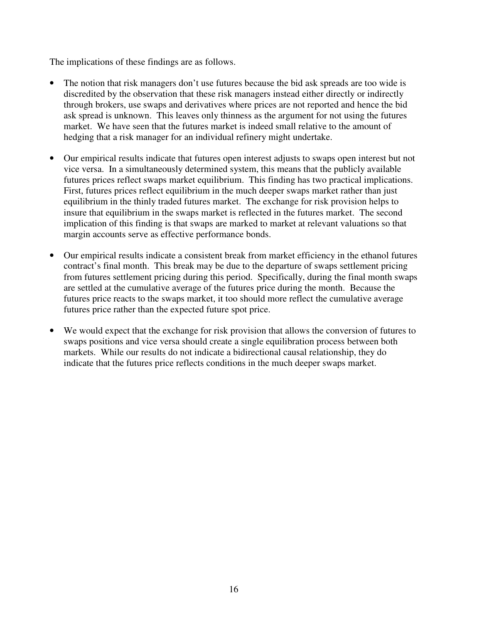The implications of these findings are as follows.

- The notion that risk managers don't use futures because the bid ask spreads are too wide is discredited by the observation that these risk managers instead either directly or indirectly through brokers, use swaps and derivatives where prices are not reported and hence the bid ask spread is unknown. This leaves only thinness as the argument for not using the futures market. We have seen that the futures market is indeed small relative to the amount of hedging that a risk manager for an individual refinery might undertake.
- Our empirical results indicate that futures open interest adjusts to swaps open interest but not vice versa. In a simultaneously determined system, this means that the publicly available futures prices reflect swaps market equilibrium. This finding has two practical implications. First, futures prices reflect equilibrium in the much deeper swaps market rather than just equilibrium in the thinly traded futures market. The exchange for risk provision helps to insure that equilibrium in the swaps market is reflected in the futures market. The second implication of this finding is that swaps are marked to market at relevant valuations so that margin accounts serve as effective performance bonds.
- Our empirical results indicate a consistent break from market efficiency in the ethanol futures contract's final month. This break may be due to the departure of swaps settlement pricing from futures settlement pricing during this period. Specifically, during the final month swaps are settled at the cumulative average of the futures price during the month. Because the futures price reacts to the swaps market, it too should more reflect the cumulative average futures price rather than the expected future spot price.
- We would expect that the exchange for risk provision that allows the conversion of futures to swaps positions and vice versa should create a single equilibration process between both markets. While our results do not indicate a bidirectional causal relationship, they do indicate that the futures price reflects conditions in the much deeper swaps market.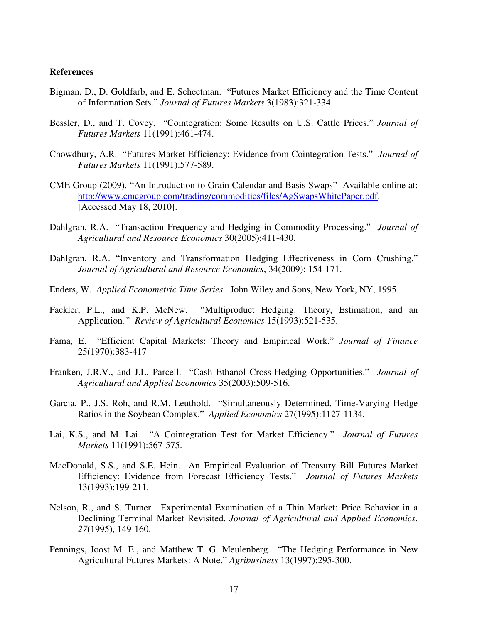#### **References**

- Bigman, D., D. Goldfarb, and E. Schectman. "Futures Market Efficiency and the Time Content of Information Sets." *Journal of Futures Markets* 3(1983):321-334.
- Bessler, D., and T. Covey. "Cointegration: Some Results on U.S. Cattle Prices." *Journal of Futures Markets* 11(1991):461-474.
- Chowdhury, A.R. "Futures Market Efficiency: Evidence from Cointegration Tests." *Journal of Futures Markets* 11(1991):577-589.
- CME Group (2009). "An Introduction to Grain Calendar and Basis Swaps" Available online at: http://www.cmegroup.com/trading/commodities/files/AgSwapsWhitePaper.pdf. [Accessed May 18, 2010].
- Dahlgran, R.A. "Transaction Frequency and Hedging in Commodity Processing." *Journal of Agricultural and Resource Economics* 30(2005):411-430.
- Dahlgran, R.A. "Inventory and Transformation Hedging Effectiveness in Corn Crushing." *Journal of Agricultural and Resource Economics*, 34(2009): 154-171.
- Enders, W. *Applied Econometric Time Series.* John Wiley and Sons, New York, NY, 1995.
- Fackler, P.L., and K.P. McNew. "Multiproduct Hedging: Theory, Estimation, and an Application*." Review of Agricultural Economics* 15(1993):521-535.
- Fama, E. "Efficient Capital Markets: Theory and Empirical Work." *Journal of Finance* 25(1970):383-417
- Franken, J.R.V., and J.L. Parcell. "Cash Ethanol Cross-Hedging Opportunities." *Journal of Agricultural and Applied Economics* 35(2003):509-516.
- Garcia, P., J.S. Roh, and R.M. Leuthold. "Simultaneously Determined, Time-Varying Hedge Ratios in the Soybean Complex." *Applied Economics* 27(1995):1127-1134.
- Lai, K.S., and M. Lai. "A Cointegration Test for Market Efficiency." *Journal of Futures Markets* 11(1991):567-575.
- MacDonald, S.S., and S.E. Hein. An Empirical Evaluation of Treasury Bill Futures Market Efficiency: Evidence from Forecast Efficiency Tests." *Journal of Futures Markets* 13(1993):199-211.
- Nelson, R., and S. Turner. Experimental Examination of a Thin Market: Price Behavior in a Declining Terminal Market Revisited. *Journal of Agricultural and Applied Economics*, *27*(1995), 149-160.
- Pennings, Joost M. E., and Matthew T. G. Meulenberg. "The Hedging Performance in New Agricultural Futures Markets: A Note." *Agribusiness* 13(1997):295-300.